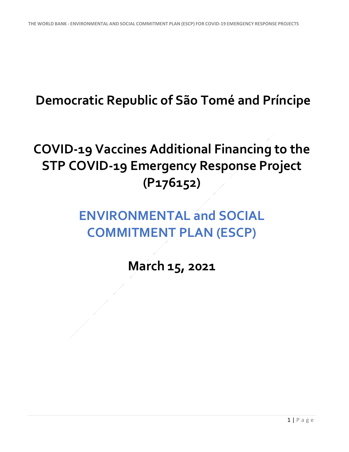## **Democratic Republic of São Tomé and Príncipe**

## **COVID-19 Vaccines Additional Financing to the STP COVID-19 Emergency Response Project (P176152)**

## **ENVIRONMENTAL and SOCIAL COMMITMENT PLAN (ESCP)**

**March 15, 2021**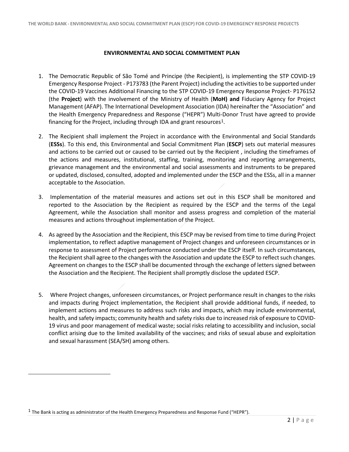## **ENVIRONMENTAL AND SOCIAL COMMITMENT PLAN**

- 1. The Democratic Republic of São Tomé and Principe (the Recipient), is implementing the STP COVID-19 Emergency Response Project - P173783 (the Parent Project) including the activities to be supported under the COVID-19 Vaccines Additional Financing to the STP COVID-19 Emergency Response Project- P176152 (the **Project**) with the involvement of the Ministry of Health (**MoH) and** Fiduciary Agency for Project Management (AFAP). The International Development Association (IDA) hereinafter the "Association" and the Health Emergency Preparedness and Response ("HEPR") Multi-Donor Trust have agreed to provide financing for the Project, including through IDA and grant resources<sup>[1](#page-1-0)</sup>.
- 2. The Recipient shall implement the Project in accordance with the Environmental and Social Standards (**ESSs**). To this end, this Environmental and Social Commitment Plan (**ESCP**) sets out material measures and actions to be carried out or caused to be carried out by the Recipient , including the timeframes of the actions and measures, institutional, staffing, training, monitoring and reporting arrangements, grievance management and the environmental and social assessments and instruments to be prepared or updated, disclosed, consulted, adopted and implemented under the ESCP and the ESSs, all in a manner acceptable to the Association.
- 3. Implementation of the material measures and actions set out in this ESCP shall be monitored and reported to the Association by the Recipient as required by the ESCP and the terms of the Legal Agreement, while the Association shall monitor and assess progress and completion of the material measures and actions throughout implementation of the Project.
- 4. As agreed by the Association and the Recipient, this ESCP may be revised from time to time during Project implementation, to reflect adaptive management of Project changes and unforeseen circumstances or in response to assessment of Project performance conducted under the ESCP itself. In such circumstances, the Recipient shall agree to the changes with the Association and update the ESCP to reflect such changes. Agreement on changes to the ESCP shall be documented through the exchange of letters signed between the Association and the Recipient. The Recipient shall promptly disclose the updated ESCP.
- 5. Where Project changes, unforeseen circumstances, or Project performance result in changes to the risks and impacts during Project implementation, the Recipient shall provide additional funds, if needed, to implement actions and measures to address such risks and impacts, which may include environmental, health, and safety impacts; community health and safety risks due to increased risk of exposure to COVID-19 virus and poor management of medical waste; social risks relating to accessibility and inclusion, social conflict arising due to the limited availability of the vaccines; and risks of sexual abuse and exploitation and sexual harassment (SEA/SH) among others.

<span id="page-1-0"></span><sup>1</sup> The Bank is acting as administrator of the Health Emergency Preparedness and Response Fund ("HEPR").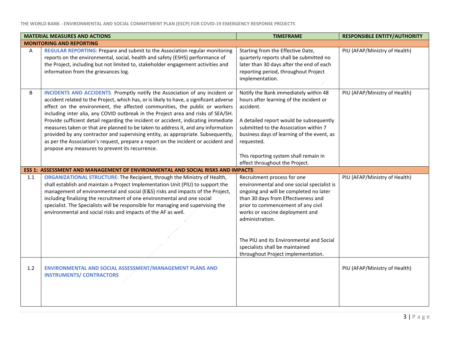|     | <b>MATERIAL MEASURES AND ACTIONS</b>                                                                                                                                                                                                                                                                                                                                                                                                                                                                                                                                                                                                                                                                                                              | <b>TIMEFRAME</b>                                                                                                                                                                                                                                                                                                         | <b>RESPONSIBLE ENTITY/AUTHORITY</b> |
|-----|---------------------------------------------------------------------------------------------------------------------------------------------------------------------------------------------------------------------------------------------------------------------------------------------------------------------------------------------------------------------------------------------------------------------------------------------------------------------------------------------------------------------------------------------------------------------------------------------------------------------------------------------------------------------------------------------------------------------------------------------------|--------------------------------------------------------------------------------------------------------------------------------------------------------------------------------------------------------------------------------------------------------------------------------------------------------------------------|-------------------------------------|
|     | <b>MONITORING AND REPORTING</b>                                                                                                                                                                                                                                                                                                                                                                                                                                                                                                                                                                                                                                                                                                                   |                                                                                                                                                                                                                                                                                                                          |                                     |
| A   | REGULAR REPORTING: Prepare and submit to the Association regular monitoring<br>reports on the environmental, social, health and safety (ESHS) performance of<br>the Project, including but not limited to, stakeholder engagement activities and<br>information from the grievances log.                                                                                                                                                                                                                                                                                                                                                                                                                                                          | Starting from the Effective Date,<br>quarterly reports shall be submitted no<br>later than 30 days after the end of each<br>reporting period, throughout Project<br>implementation.                                                                                                                                      | PIU (AFAP/Ministry of Health)       |
| B   | INCIDENTS AND ACCIDENTS. Promptly notify the Association of any incident or<br>accident related to the Project, which has, or is likely to have, a significant adverse<br>effect on the environment, the affected communities, the public or workers<br>including inter alia, any COVID outbreak in the Project area and risks of SEA/SH.<br>Provide sufficient detail regarding the incident or accident, indicating immediate<br>measures taken or that are planned to be taken to address it, and any information<br>provided by any contractor and supervising entity, as appropriate. Subsequently,<br>as per the Association's request, prepare a report on the incident or accident and<br>propose any measures to prevent its recurrence. | Notify the Bank immediately within 48<br>hours after learning of the incident or<br>accident.<br>A detailed report would be subsequently<br>submitted to the Association within 7<br>business days of learning of the event, as<br>requested.<br>This reporting system shall remain in<br>effect throughout the Project. | PIU (AFAP/Ministry of Health)       |
|     | ESS 1: ASSESSMENT AND MANAGEMENT OF ENVIRONMENTAL AND SOCIAL RISKS AND IMPACTS                                                                                                                                                                                                                                                                                                                                                                                                                                                                                                                                                                                                                                                                    |                                                                                                                                                                                                                                                                                                                          |                                     |
| 1.1 | ORGANIZATIONAL STRUCTURE: The Recipient, through the Ministry of Health,<br>shall establish and maintain a Project Implementation Unit (PIU) to support the<br>management of environmental and social (E&S) risks and impacts of the Project,<br>including finalizing the recruitment of one environmental and one social<br>specialist. The Specialists will be responsible for managing and supervising the<br>environmental and social risks and impacts of the AF as well.                                                                                                                                                                                                                                                                    | Recruitment process for one<br>environmental and one social specialist is<br>ongoing and will be completed no later<br>than 30 days from Effectiveness and<br>prior to commencement of any civil<br>works or vaccine deployment and<br>administration.<br>The PIU and its Environmental and Social                       | PIU (AFAP/Ministry of Health)       |
|     |                                                                                                                                                                                                                                                                                                                                                                                                                                                                                                                                                                                                                                                                                                                                                   | specialists shall be maintained<br>throughout Project implementation.                                                                                                                                                                                                                                                    |                                     |
| 1.2 | ENVIRONMENTAL AND SOCIAL ASSESSMENT/MANAGEMENT PLANS AND<br><b>INSTRUMENTS/ CONTRACTORS</b>                                                                                                                                                                                                                                                                                                                                                                                                                                                                                                                                                                                                                                                       |                                                                                                                                                                                                                                                                                                                          | PIU (AFAP/Ministry of Health)       |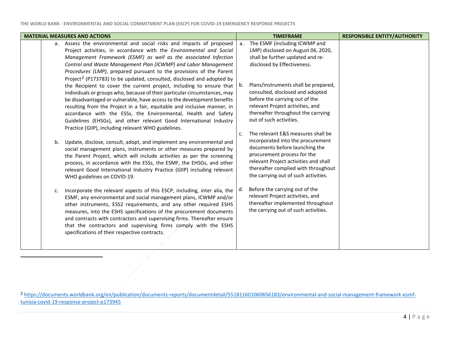<span id="page-3-0"></span>

| <b>MATERIAL MEASURES AND ACTIONS</b>                                                                                                                                                                                                                                                                                                                                                                                                                                                                                                                                                                                                                                                                                                                                                                                                                                                                                                                                                                                                                                                                                                                                                                                                                                                                                                                                                                                                                                                                                                                                                                                                                                                                                                                                                                                                                                        | <b>TIMEFRAME</b>                                                                                                                                                                                                                                                                                                                                                                                                                                                                                                                                                                                                                                                                                                                                                                                                     | <b>RESPONSIBLE ENTITY/AUTHORITY</b> |
|-----------------------------------------------------------------------------------------------------------------------------------------------------------------------------------------------------------------------------------------------------------------------------------------------------------------------------------------------------------------------------------------------------------------------------------------------------------------------------------------------------------------------------------------------------------------------------------------------------------------------------------------------------------------------------------------------------------------------------------------------------------------------------------------------------------------------------------------------------------------------------------------------------------------------------------------------------------------------------------------------------------------------------------------------------------------------------------------------------------------------------------------------------------------------------------------------------------------------------------------------------------------------------------------------------------------------------------------------------------------------------------------------------------------------------------------------------------------------------------------------------------------------------------------------------------------------------------------------------------------------------------------------------------------------------------------------------------------------------------------------------------------------------------------------------------------------------------------------------------------------------|----------------------------------------------------------------------------------------------------------------------------------------------------------------------------------------------------------------------------------------------------------------------------------------------------------------------------------------------------------------------------------------------------------------------------------------------------------------------------------------------------------------------------------------------------------------------------------------------------------------------------------------------------------------------------------------------------------------------------------------------------------------------------------------------------------------------|-------------------------------------|
| a. Assess the environmental and social risks and impacts of proposed<br>Project activities, in accordance with the Environmental and Social<br>Management Framework (ESMF) as well as the associated Infection<br>Control and Waste Management Plan (ICWMP) and Labor Management<br>Procedures (LMP), prepared pursuant to the provisions of the Parent<br>Project <sup>2</sup> (P173783) to be updated, consulted, disclosed and adopted by<br>the Recipient to cover the current project, including to ensure that<br>individuals or groups who, because of their particular circumstances, may<br>be disadvantaged or vulnerable, have access to the development benefits<br>resulting from the Project in a fair, equitable and inclusive manner, in<br>accordance with the ESSs, the Environmental, Health and Safety<br>Guidelines (EHSGs), and other relevant Good International Industry<br>Practice (GIIP), including relevant WHO guidelines.<br>Update, disclose, consult, adopt, and implement any environmental and<br>b.<br>social management plans, instruments or other measures prepared by<br>the Parent Project, which will include activities as per the screening<br>process, in accordance with the ESSs, the ESMF, the EHSGs, and other<br>relevant Good International Industry Practice (GIIP) including relevant<br>WHO guidelines on COVID-19.<br>Incorporate the relevant aspects of this ESCP, including, inter alia, the<br>c.<br>ESMF, any environmental and social management plans, ICWMP and/or<br>other instruments, ESS2 requirements, and any other required ESHS<br>measures, into the ESHS specifications of the procurement documents<br>and contracts with contractors and supervising firms. Thereafter ensure<br>that the contractors and supervising firms comply with the ESHS<br>specifications of their respective contracts. | The ESMF (including ICWMP and<br>a <sub>r</sub><br>LMP) disclosed on August 06, 2020,<br>shall be further updated and re-<br>disclosed by Effectiveness.<br>Plans/instruments shall be prepared,<br>b.<br>consulted, disclosed and adopted<br>before the carrying out of the<br>relevant Project activities, and<br>thereafter throughout the carrying<br>out of such activities.<br>The relevant E&S measures shall be<br>c.<br>incorporated into the procurement<br>documents before launching the<br>procurement process for the<br>relevant Project activities and shall<br>thereafter complied with throughout<br>the carrying out of such activities.<br>Before the carrying out of the<br>d.<br>relevant Project activities, and<br>thereafter implemented throughout<br>the carrying out of such activities. |                                     |

<sup>2</sup> [https://documents.worldbank.org/en/publication/documents-reports/documentdetail/551811601060656183/environmental-and-social-management-framework-esmf](https://documents.worldbank.org/en/publication/documents-reports/documentdetail/551811601060656183/environmental-and-social-management-framework-esmf-tunisia-covid-19-response-project-p173945)[tunisia-covid-19-response-project-p173945](https://documents.worldbank.org/en/publication/documents-reports/documentdetail/551811601060656183/environmental-and-social-management-framework-esmf-tunisia-covid-19-response-project-p173945)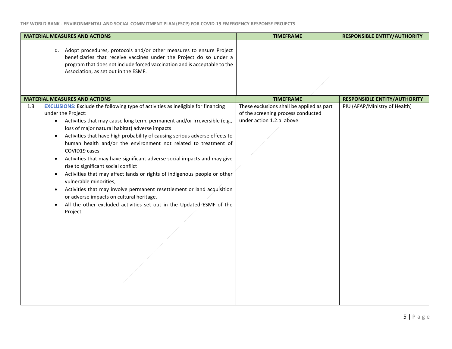| <b>MATERIAL MEASURES AND ACTIONS</b>                                                                                                                                                                                                                                                                                                                                                                                                                                                                                                                                                                                                                                                                                                                                                                                                                                                                            | <b>TIMEFRAME</b>                                                                                              | <b>RESPONSIBLE ENTITY/AUTHORITY</b> |
|-----------------------------------------------------------------------------------------------------------------------------------------------------------------------------------------------------------------------------------------------------------------------------------------------------------------------------------------------------------------------------------------------------------------------------------------------------------------------------------------------------------------------------------------------------------------------------------------------------------------------------------------------------------------------------------------------------------------------------------------------------------------------------------------------------------------------------------------------------------------------------------------------------------------|---------------------------------------------------------------------------------------------------------------|-------------------------------------|
| d. Adopt procedures, protocols and/or other measures to ensure Project<br>beneficiaries that receive vaccines under the Project do so under a<br>program that does not include forced vaccination and is acceptable to the<br>Association, as set out in the ESMF.                                                                                                                                                                                                                                                                                                                                                                                                                                                                                                                                                                                                                                              |                                                                                                               |                                     |
| <b>MATERIAL MEASURES AND ACTIONS</b>                                                                                                                                                                                                                                                                                                                                                                                                                                                                                                                                                                                                                                                                                                                                                                                                                                                                            | <b>TIMEFRAME</b>                                                                                              | <b>RESPONSIBLE ENTITY/AUTHORITY</b> |
| <b>EXCLUSIONS:</b> Exclude the following type of activities as ineligible for financing<br>1.3<br>under the Project:<br>Activities that may cause long term, permanent and/or irreversible (e.g.,<br>$\bullet$<br>loss of major natural habitat) adverse impacts<br>Activities that have high probability of causing serious adverse effects to<br>$\bullet$<br>human health and/or the environment not related to treatment of<br>COVID19 cases<br>Activities that may have significant adverse social impacts and may give<br>٠<br>rise to significant social conflict<br>Activities that may affect lands or rights of indigenous people or other<br>٠<br>vulnerable minorities,<br>Activities that may involve permanent resettlement or land acquisition<br>٠<br>or adverse impacts on cultural heritage.<br>All the other excluded activities set out in the Updated ESMF of the<br>$\bullet$<br>Project. | These exclusions shall be applied as part<br>of the screening process conducted<br>under action 1.2.a. above. | PIU (AFAP/Ministry of Health)       |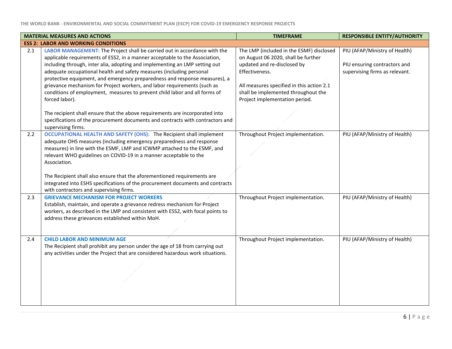|     | <b>MATERIAL MEASURES AND ACTIONS</b>                                                                                                                                                                                                                                                                            | <b>TIMEFRAME</b>                                                                                                                 | <b>RESPONSIBLE ENTITY/AUTHORITY</b>                                                             |
|-----|-----------------------------------------------------------------------------------------------------------------------------------------------------------------------------------------------------------------------------------------------------------------------------------------------------------------|----------------------------------------------------------------------------------------------------------------------------------|-------------------------------------------------------------------------------------------------|
|     | <b>ESS 2: LABOR AND WORKING CONDITIONS</b>                                                                                                                                                                                                                                                                      |                                                                                                                                  |                                                                                                 |
| 2.1 | LABOR MANAGEMENT: The Project shall be carried out in accordance with the<br>applicable requirements of ESS2, in a manner acceptable to the Association,<br>including through, inter alia, adopting and implementing an LMP setting out<br>adequate occupational health and safety measures (including personal | The LMP (included in the ESMF) disclosed<br>on August 06 2020, shall be further<br>updated and re-disclosed by<br>Effectiveness. | PIU (AFAP/Ministry of Health)<br>PIU ensuring contractors and<br>supervising firms as relevant. |
|     | protective equipment, and emergency preparedness and response measures), a<br>grievance mechanism for Project workers, and labor requirements (such as<br>conditions of employment, measures to prevent child labor and all forms of<br>forced labor).                                                          | All measures specified in this action 2.1<br>shall be implemented throughout the<br>Project implementation period.               |                                                                                                 |
|     | The recipient shall ensure that the above requirements are incorporated into<br>specifications of the procurement documents and contracts with contractors and<br>supervising firms.                                                                                                                            |                                                                                                                                  |                                                                                                 |
| 2.2 | OCCUPATIONAL HEALTH AND SAFETY (OHS): The Recipient shall implement<br>adequate OHS measures (including emergency preparedness and response<br>measures) in line with the ESMF, LMP and ICWMP attached to the ESMF, and<br>relevant WHO guidelines on COVID-19 in a manner acceptable to the<br>Association.    | Throughout Project implementation.                                                                                               | PIU (AFAP/Ministry of Health)                                                                   |
|     | The Recipient shall also ensure that the aforementioned requirements are<br>integrated into ESHS specifications of the procurement documents and contracts<br>with contractors and supervising firms.                                                                                                           |                                                                                                                                  |                                                                                                 |
| 2.3 | <b>GRIEVANCE MECHANISM FOR PROJECT WORKERS</b><br>Establish, maintain, and operate a grievance redress mechanism for Project<br>workers, as described in the LMP and consistent with ESS2, with focal points to<br>address these grievances established within MoH.                                             | Throughout Project implementation.                                                                                               | PIU (AFAP/Ministry of Health)                                                                   |
| 2.4 | <b>CHILD LABOR AND MINIMUM AGE</b><br>The Recipient shall prohibit any person under the age of 18 from carrying out<br>any activities under the Project that are considered hazardous work situations.                                                                                                          | Throughout Project implementation.                                                                                               | PIU (AFAP/Ministry of Health)                                                                   |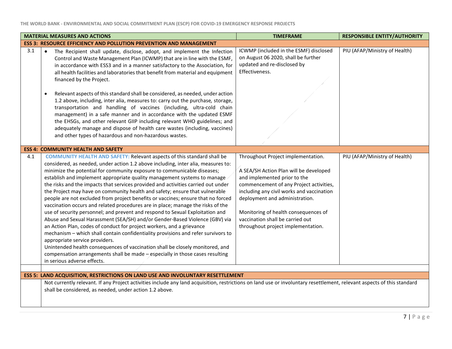|     | <b>MATERIAL MEASURES AND ACTIONS</b>                                                                                                                                                                                                                                                                                                                                                                                                                                                                                                                                                                                                                                                                                                                                                                                                                                                                                                                                                                                                                                                                                                                                                                                                   | <b>TIMEFRAME</b>                                                                                                                                                                                                                                                                                                                                         | <b>RESPONSIBLE ENTITY/AUTHORITY</b> |
|-----|----------------------------------------------------------------------------------------------------------------------------------------------------------------------------------------------------------------------------------------------------------------------------------------------------------------------------------------------------------------------------------------------------------------------------------------------------------------------------------------------------------------------------------------------------------------------------------------------------------------------------------------------------------------------------------------------------------------------------------------------------------------------------------------------------------------------------------------------------------------------------------------------------------------------------------------------------------------------------------------------------------------------------------------------------------------------------------------------------------------------------------------------------------------------------------------------------------------------------------------|----------------------------------------------------------------------------------------------------------------------------------------------------------------------------------------------------------------------------------------------------------------------------------------------------------------------------------------------------------|-------------------------------------|
|     | <b>ESS 3: RESOURCE EFFICIENCY AND POLLUTION PREVENTION AND MANAGEMENT</b>                                                                                                                                                                                                                                                                                                                                                                                                                                                                                                                                                                                                                                                                                                                                                                                                                                                                                                                                                                                                                                                                                                                                                              |                                                                                                                                                                                                                                                                                                                                                          |                                     |
| 3.1 | The Recipient shall update, disclose, adopt, and implement the Infection<br>$\bullet$<br>Control and Waste Management Plan (ICWMP) that are in line with the ESMF,<br>in accordance with ESS3 and in a manner satisfactory to the Association, for<br>all health facilities and laboratories that benefit from material and equipment<br>financed by the Project.<br>Relevant aspects of this standard shall be considered, as needed, under action<br>$\bullet$<br>1.2 above, including, inter alia, measures to: carry out the purchase, storage,<br>transportation and handling of vaccines (including, ultra-cold chain<br>management) in a safe manner and in accordance with the updated ESMF<br>the EHSGs, and other relevant GIIP including relevant WHO guidelines; and<br>adequately manage and dispose of health care wastes (including, vaccines)<br>and other types of hazardous and non-hazardous wastes.                                                                                                                                                                                                                                                                                                                | ICWMP (included in the ESMF) disclosed<br>on August 06 2020, shall be further<br>updated and re-disclosed by<br>Effectiveness.                                                                                                                                                                                                                           | PIU (AFAP/Ministry of Health)       |
|     |                                                                                                                                                                                                                                                                                                                                                                                                                                                                                                                                                                                                                                                                                                                                                                                                                                                                                                                                                                                                                                                                                                                                                                                                                                        |                                                                                                                                                                                                                                                                                                                                                          |                                     |
|     | <b>ESS 4: COMMUNITY HEALTH AND SAFETY</b>                                                                                                                                                                                                                                                                                                                                                                                                                                                                                                                                                                                                                                                                                                                                                                                                                                                                                                                                                                                                                                                                                                                                                                                              |                                                                                                                                                                                                                                                                                                                                                          |                                     |
| 4.1 | <b>COMMUNITY HEALTH AND SAFETY: Relevant aspects of this standard shall be</b><br>considered, as needed, under action 1.2 above including, inter alia, measures to:<br>minimize the potential for community exposure to communicable diseases;<br>establish and implement appropriate quality management systems to manage<br>the risks and the impacts that services provided and activities carried out under<br>the Project may have on community health and safety; ensure that vulnerable<br>people are not excluded from project benefits or vaccines; ensure that no forced<br>vaccination occurs and related procedures are in place; manage the risks of the<br>use of security personnel; and prevent and respond to Sexual Exploitation and<br>Abuse and Sexual Harassment (SEA/SH) and/or Gender-Based Violence (GBV) via<br>an Action Plan, codes of conduct for project workers, and a grievance<br>mechanism - which shall contain confidentiality provisions and refer survivors to<br>appropriate service providers.<br>Unintended health consequences of vaccination shall be closely monitored, and<br>compensation arrangements shall be made - especially in those cases resulting<br>in serious adverse effects. | Throughout Project implementation.<br>A SEA/SH Action Plan will be developed<br>and implemented prior to the<br>commencement of any Project activities,<br>including any civil works and vaccination<br>deployment and administration.<br>Monitoring of health consequences of<br>vaccination shall be carried out<br>throughout project implementation. | PIU (AFAP/Ministry of Health)       |
|     | <b>ESS 5: LAND ACQUISITION, RESTRICTIONS ON LAND USE AND INVOLUNTARY RESETTLEMENT</b>                                                                                                                                                                                                                                                                                                                                                                                                                                                                                                                                                                                                                                                                                                                                                                                                                                                                                                                                                                                                                                                                                                                                                  |                                                                                                                                                                                                                                                                                                                                                          |                                     |
|     | Not currently relevant. If any Project activities include any land acquisition, restrictions on land use or involuntary resettlement, relevant aspects of this standard                                                                                                                                                                                                                                                                                                                                                                                                                                                                                                                                                                                                                                                                                                                                                                                                                                                                                                                                                                                                                                                                |                                                                                                                                                                                                                                                                                                                                                          |                                     |
|     | shall be considered, as needed, under action 1.2 above.                                                                                                                                                                                                                                                                                                                                                                                                                                                                                                                                                                                                                                                                                                                                                                                                                                                                                                                                                                                                                                                                                                                                                                                |                                                                                                                                                                                                                                                                                                                                                          |                                     |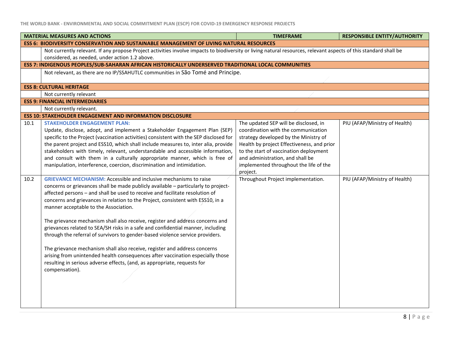|      | <b>MATERIAL MEASURES AND ACTIONS</b>                                                                                                                                                                                                                                                                                                                                                                                                                                                                                                                                                                                                                                                                                                                                                                                                                                                         | <b>TIMEFRAME</b>                                                                                                                                                                                                                                                                                        | <b>RESPONSIBLE ENTITY/AUTHORITY</b> |  |
|------|----------------------------------------------------------------------------------------------------------------------------------------------------------------------------------------------------------------------------------------------------------------------------------------------------------------------------------------------------------------------------------------------------------------------------------------------------------------------------------------------------------------------------------------------------------------------------------------------------------------------------------------------------------------------------------------------------------------------------------------------------------------------------------------------------------------------------------------------------------------------------------------------|---------------------------------------------------------------------------------------------------------------------------------------------------------------------------------------------------------------------------------------------------------------------------------------------------------|-------------------------------------|--|
|      | <b>ESS 6: BIODIVERSITY CONSERVATION AND SUSTAINABLE MANAGEMENT OF LIVING NATURAL RESOURCES</b>                                                                                                                                                                                                                                                                                                                                                                                                                                                                                                                                                                                                                                                                                                                                                                                               |                                                                                                                                                                                                                                                                                                         |                                     |  |
|      | Not currently relevant. If any propose Project activities involve impacts to biodiversity or living natural resources, relevant aspects of this standard shall be<br>considered, as needed, under action 1.2 above.                                                                                                                                                                                                                                                                                                                                                                                                                                                                                                                                                                                                                                                                          |                                                                                                                                                                                                                                                                                                         |                                     |  |
|      | ESS 7: INDIGENOUS PEOPLES/SUB-SAHARAN AFRICAN HISTORICALLY UNDERSERVED TRADITIONAL LOCAL COMMUNITIES                                                                                                                                                                                                                                                                                                                                                                                                                                                                                                                                                                                                                                                                                                                                                                                         |                                                                                                                                                                                                                                                                                                         |                                     |  |
|      | Not relevant, as there are no IP/SSAHUTLC communities in São Tomé and Principe.                                                                                                                                                                                                                                                                                                                                                                                                                                                                                                                                                                                                                                                                                                                                                                                                              |                                                                                                                                                                                                                                                                                                         |                                     |  |
|      | <b>ESS 8: CULTURAL HERITAGE</b>                                                                                                                                                                                                                                                                                                                                                                                                                                                                                                                                                                                                                                                                                                                                                                                                                                                              |                                                                                                                                                                                                                                                                                                         |                                     |  |
|      | Not currently relevant                                                                                                                                                                                                                                                                                                                                                                                                                                                                                                                                                                                                                                                                                                                                                                                                                                                                       |                                                                                                                                                                                                                                                                                                         |                                     |  |
|      | <b>ESS 9: FINANCIAL INTERMEDIARIES</b>                                                                                                                                                                                                                                                                                                                                                                                                                                                                                                                                                                                                                                                                                                                                                                                                                                                       |                                                                                                                                                                                                                                                                                                         |                                     |  |
|      | Not currently relevant.                                                                                                                                                                                                                                                                                                                                                                                                                                                                                                                                                                                                                                                                                                                                                                                                                                                                      |                                                                                                                                                                                                                                                                                                         |                                     |  |
|      | <b>ESS 10: STAKEHOLDER ENGAGEMENT AND INFORMATION DISCLOSURE</b>                                                                                                                                                                                                                                                                                                                                                                                                                                                                                                                                                                                                                                                                                                                                                                                                                             |                                                                                                                                                                                                                                                                                                         |                                     |  |
| 10.1 | <b>STAKEHOLDER ENGAGEMENT PLAN:</b><br>Update, disclose, adopt, and implement a Stakeholder Engagement Plan (SEP)<br>specific to the Project (vaccination activities) consistent with the SEP disclosed for<br>the parent project and ESS10, which shall include measures to, inter alia, provide<br>stakeholders with timely, relevant, understandable and accessible information,<br>and consult with them in a culturally appropriate manner, which is free of<br>manipulation, interference, coercion, discrimination and intimidation.                                                                                                                                                                                                                                                                                                                                                  | The updated SEP will be disclosed, in<br>coordination with the communication<br>strategy developed by the Ministry of<br>Health by project Effectiveness, and prior<br>to the start of vaccination deployment<br>and administration, and shall be<br>implemented throughout the life of the<br>project. | PIU (AFAP/Ministry of Health)       |  |
| 10.2 | <b>GRIEVANCE MECHANISM: Accessible and inclusive mechanisms to raise</b><br>concerns or grievances shall be made publicly available - particularly to project-<br>affected persons - and shall be used to receive and facilitate resolution of<br>concerns and grievances in relation to the Project, consistent with ESS10, in a<br>manner acceptable to the Association.<br>The grievance mechanism shall also receive, register and address concerns and<br>grievances related to SEA/SH risks in a safe and confidential manner, including<br>through the referral of survivors to gender-based violence service providers.<br>The grievance mechanism shall also receive, register and address concerns<br>arising from unintended health consequences after vaccination especially those<br>resulting in serious adverse effects, (and, as appropriate, requests for<br>compensation). | Throughout Project implementation.                                                                                                                                                                                                                                                                      | PIU (AFAP/Ministry of Health)       |  |